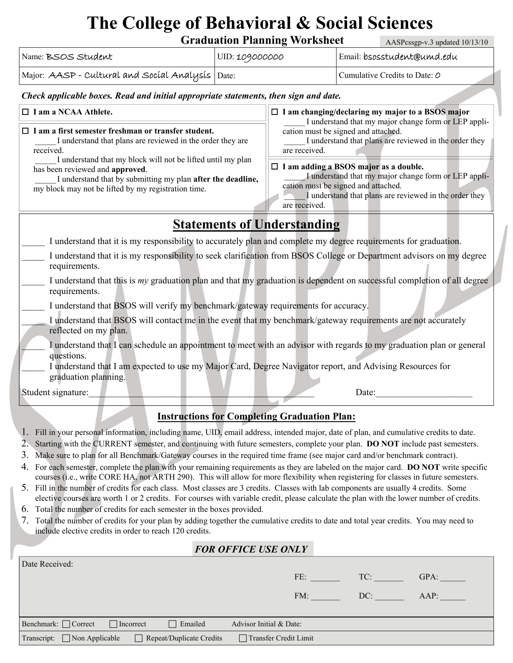## **The College of Behavioral & Social Sciences**

**Graduation Planning Worksheet** 

AASPcssgp-v.3 updated 10/13/10

| Name: BSOS Student                                                                                                                                                                                                                                                                                                                                                                           | UID: 109000000 |                                                                                                                                                                                                                        | Email: bsosstudent@umd.edu    |  |  |  |  |
|----------------------------------------------------------------------------------------------------------------------------------------------------------------------------------------------------------------------------------------------------------------------------------------------------------------------------------------------------------------------------------------------|----------------|------------------------------------------------------------------------------------------------------------------------------------------------------------------------------------------------------------------------|-------------------------------|--|--|--|--|
| Major: AASP - Cultural and Social Analysis                                                                                                                                                                                                                                                                                                                                                   | Date:          |                                                                                                                                                                                                                        | Cumulative Credits to Date: O |  |  |  |  |
| Check applicable boxes. Read and initial appropriate statements, then sign and date.                                                                                                                                                                                                                                                                                                         |                |                                                                                                                                                                                                                        |                               |  |  |  |  |
| $\Box$ I am a NCAA Athlete.<br>$\Box$ I am a first semester freshman or transfer student.<br>I understand that plans are reviewed in the order they are<br>received.<br>I understand that my block will not be lifted until my plan<br>has been reviewed and approved.<br>I understand that by submitting my plan after the deadline,<br>my block may not be lifted by my registration time. |                | $\Box$ I am changing/declaring my major to a BSOS major<br>I understand that my major change form or LEP appli-                                                                                                        |                               |  |  |  |  |
|                                                                                                                                                                                                                                                                                                                                                                                              |                | cation must be signed and attached.<br>I understand that plans are reviewed in the order they<br>are received.                                                                                                         |                               |  |  |  |  |
|                                                                                                                                                                                                                                                                                                                                                                                              |                | $\Box$ I am adding a BSOS major as a double.<br>I understand that my major change form or LEP appli-<br>cation must be signed and attached.<br>I understand that plans are reviewed in the order they<br>are received. |                               |  |  |  |  |
| <b>Statements of Understanding</b>                                                                                                                                                                                                                                                                                                                                                           |                |                                                                                                                                                                                                                        |                               |  |  |  |  |
| I understand that it is my responsibility to accurately plan and complete my degree requirements for graduation.                                                                                                                                                                                                                                                                             |                |                                                                                                                                                                                                                        |                               |  |  |  |  |
| I understand that it is my responsibility to seek clarification from BSOS College or Department advisors on my degree<br>requirements.                                                                                                                                                                                                                                                       |                |                                                                                                                                                                                                                        |                               |  |  |  |  |
| I understand that this is my graduation plan and that my graduation is dependent on successful completion of all degree<br>requirements.                                                                                                                                                                                                                                                     |                |                                                                                                                                                                                                                        |                               |  |  |  |  |
| I understand that BSOS will verify my benchmark/gateway requirements for accuracy.                                                                                                                                                                                                                                                                                                           |                |                                                                                                                                                                                                                        |                               |  |  |  |  |
| I understand that BSOS will contact me in the event that my benchmark/gateway requirements are not accurately<br>reflected on my plan.                                                                                                                                                                                                                                                       |                |                                                                                                                                                                                                                        |                               |  |  |  |  |
| I understand that I can schedule an appointment to meet with an advisor with regards to my graduation plan or general<br>questions.<br>I understand that I am expected to use my Major Card, Degree Navigator report, and Advising Resources for<br>graduation planning.                                                                                                                     |                |                                                                                                                                                                                                                        |                               |  |  |  |  |
| Student signature:<br>Date:                                                                                                                                                                                                                                                                                                                                                                  |                |                                                                                                                                                                                                                        |                               |  |  |  |  |

## **Instructions for Completing Graduation Plan:**

- 1. Fill in your personal information, including name, UID, email address, intended major, date of plan, and cumulative credits to date.
- 2. Starting with the CURRENT semester, and continuing with future semesters, complete your plan. **DO NOT** include past semesters.
- 3. Make sure to plan for all Benchmark/Gateway courses in the required time frame (see major card and/or benchmark contract).
- 4. For each semester, complete the plan with your remaining requirements as they are labeled on the major card. **DO NOT** write specific courses (i.e., write CORE HA, not ARTH 290). This will allow for more flexibility when registering for classes in future semesters.
- 5. Fill in the number of credits for each class. Most classes are 3 credits. Classes with lab components are usually 4 credits. Some elective courses are worth 1 or 2 credits. For courses with variable credit, please calculate the plan with the lower number of credits.
- 6. Total the number of credits for each semester in the boxes provided.
- 7. Total the number of credits for your plan by adding together the cumulative credits to date and total year credits. You may need to include elective credits in order to reach 120 credits.

|                                                                      |                  |                              | <b>FOR OFFICE USE ONLY</b> |     |      |
|----------------------------------------------------------------------|------------------|------------------------------|----------------------------|-----|------|
| Date Received:                                                       |                  |                              |                            |     |      |
|                                                                      |                  |                              | FE:                        | TC: | GPA: |
|                                                                      |                  |                              | FM:                        | DC: | AAP: |
|                                                                      |                  |                              |                            |     |      |
| Benchmark: $\Box$ Correct                                            | $\Box$ Incorrect | $\Box$ Emailed               | Advisor Initial & Date:    |     |      |
| Transcript: $\Box$ Non Applicable<br>$\Box$ Repeat/Duplicate Credits |                  | $\Box$ Transfer Credit Limit |                            |     |      |